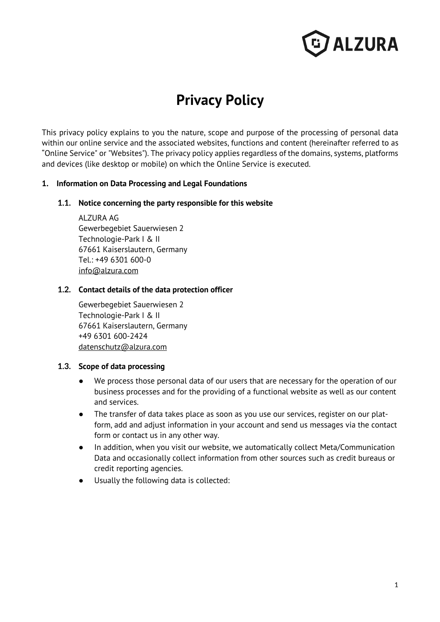

# **Privacy Policy**

This privacy policy explains to you the nature, scope and purpose of the processing of personal data within our online service and the associated websites, functions and content (hereinafter referred to as "Online Service" or "Websites"). The privacy policy applies regardless of the domains, systems, platforms and devices (like desktop or mobile) on which the Online Service is executed.

#### **1. Information on Data Processing and Legal Foundations**

#### **1.1. Notice concerning the party responsible for this website**

ALZURA AG Gewerbegebiet Sauerwiesen 2 Technologie-Park I & II 67661 Kaiserslautern, Germany Tel.: +49 6301 600-0 info@alzura.com

#### **1.2. Contact details of the data protection officer**

Gewerbegebiet Sauerwiesen 2 Technologie-Park I & II 67661 Kaiserslautern, Germany +49 6301 600-2424 datenschutz@alzura.com

#### **1.3. Scope of data processing**

- We process those personal data of our users that are necessary for the operation of our business processes and for the providing of a functional website as well as our content and services.
- The transfer of data takes place as soon as you use our services, register on our platform, add and adjust information in your account and send us messages via the contact form or contact us in any other way.
- In addition, when you visit our website, we automatically collect Meta/Communication Data and occasionally collect information from other sources such as credit bureaus or credit reporting agencies.
- Usually the following data is collected: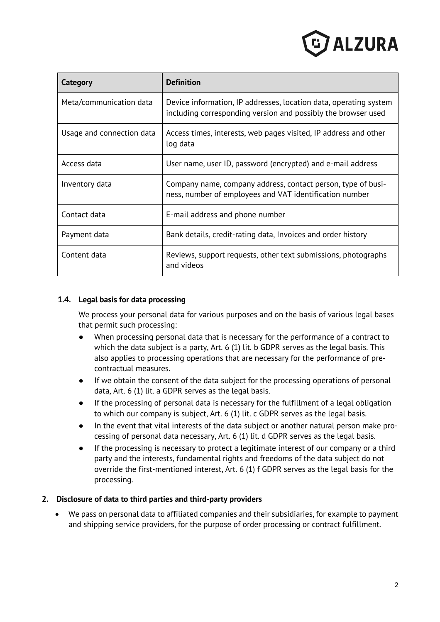

| Category                  | <b>Definition</b>                                                                                                                  |
|---------------------------|------------------------------------------------------------------------------------------------------------------------------------|
| Meta/communication data   | Device information, IP addresses, location data, operating system<br>including corresponding version and possibly the browser used |
| Usage and connection data | Access times, interests, web pages visited, IP address and other<br>log data                                                       |
| Access data               | User name, user ID, password (encrypted) and e-mail address                                                                        |
| Inventory data            | Company name, company address, contact person, type of busi-<br>ness, number of employees and VAT identification number            |
| Contact data              | E-mail address and phone number                                                                                                    |
| Payment data              | Bank details, credit-rating data, Invoices and order history                                                                       |
| Content data              | Reviews, support requests, other text submissions, photographs<br>and videos                                                       |

# **1.4. Legal basis for data processing**

We process your personal data for various purposes and on the basis of various legal bases that permit such processing:

- When processing personal data that is necessary for the performance of a contract to which the data subject is a party, Art. 6 (1) lit. b GDPR serves as the legal basis. This also applies to processing operations that are necessary for the performance of precontractual measures.
- If we obtain the consent of the data subject for the processing operations of personal data, Art. 6 (1) lit. a GDPR serves as the legal basis.
- If the processing of personal data is necessary for the fulfillment of a legal obligation to which our company is subject, Art. 6 (1) lit. c GDPR serves as the legal basis.
- In the event that vital interests of the data subject or another natural person make processing of personal data necessary, Art. 6 (1) lit. d GDPR serves as the legal basis.
- If the processing is necessary to protect a legitimate interest of our company or a third party and the interests, fundamental rights and freedoms of the data subject do not override the first-mentioned interest, Art. 6 (1) f GDPR serves as the legal basis for the processing.

#### **2. Disclosure of data to third parties and third-party providers**

• We pass on personal data to affiliated companies and their subsidiaries, for example to payment and shipping service providers, for the purpose of order processing or contract fulfillment.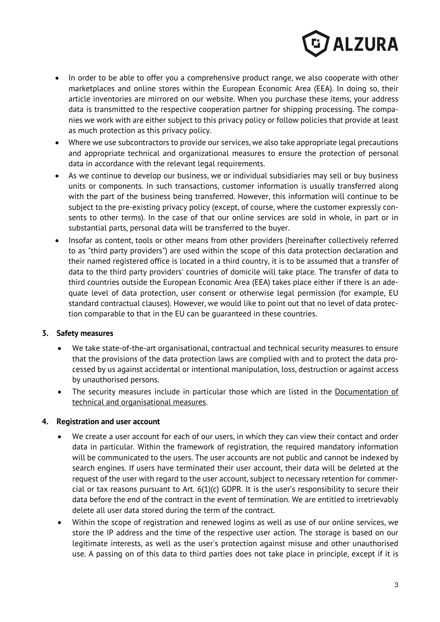

- In order to be able to offer you a comprehensive product range, we also cooperate with other marketplaces and online stores within the European Economic Area (EEA). In doing so, their article inventories are mirrored on our website. When you purchase these items, your address data is transmitted to the respective cooperation partner for shipping processing. The companies we work with are either subject to this privacy policy or follow policies that provide at least as much protection as this privacy policy.
- Where we use subcontractors to provide our services, we also take appropriate legal precautions and appropriate technical and organizational measures to ensure the protection of personal data in accordance with the relevant legal requirements.
- As we continue to develop our business, we or individual subsidiaries may sell or buy business units or components. In such transactions, customer information is usually transferred along with the part of the business being transferred. However, this information will continue to be subject to the pre-existing privacy policy (except, of course, where the customer expressly consents to other terms). In the case of that our online services are sold in whole, in part or in substantial parts, personal data will be transferred to the buyer.
- Insofar as content, tools or other means from other providers (hereinafter collectively referred to as "third party providers") are used within the scope of this data protection declaration and their named registered office is located in a third country, it is to be assumed that a transfer of data to the third party providers' countries of domicile will take place. The transfer of data to third countries outside the European Economic Area (EEA) takes place either if there is an adequate level of data protection, user consent or otherwise legal permission (for example, EU standard contractual clauses). However, we would like to point out that no level of data protection comparable to that in the EU can be guaranteed in these countries.

#### **3. Safety measures**

- We take state-of-the-art organisational, contractual and technical security measures to ensure that the provisions of the data protection laws are complied with and to protect the data processed by us against accidental or intentional manipulation, loss, destruction or against access by unauthorised persons.
- The security measures include in particular those which are listed in the Documentation of technical and organisational measures.

#### **4. Registration and user account**

- We create a user account for each of our users, in which they can view their contact and order data in particular. Within the framework of registration, the required mandatory information will be communicated to the users. The user accounts are not public and cannot be indexed by search engines. If users have terminated their user account, their data will be deleted at the request of the user with regard to the user account, subject to necessary retention for commercial or tax reasons pursuant to Art. 6(1)(c) GDPR. It is the user's responsibility to secure their data before the end of the contract in the event of termination. We are entitled to irretrievably delete all user data stored during the term of the contract.
- Within the scope of registration and renewed logins as well as use of our online services, we store the IP address and the time of the respective user action. The storage is based on our legitimate interests, as well as the user's protection against misuse and other unauthorised use. A passing on of this data to third parties does not take place in principle, except if it is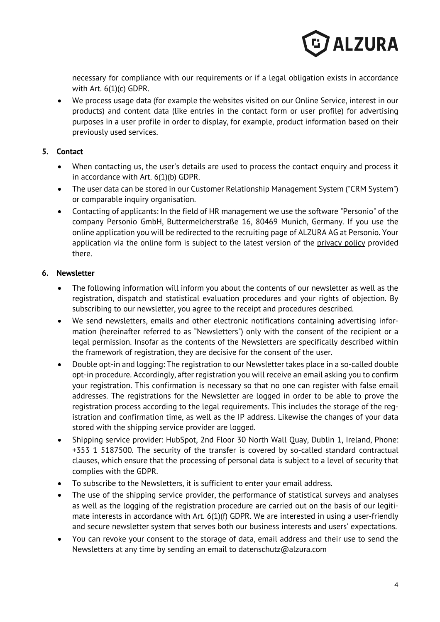

necessary for compliance with our requirements or if a legal obligation exists in accordance with Art. 6(1)(c) GDPR.

• We process usage data (for example the websites visited on our Online Service, interest in our products) and content data (like entries in the contact form or user profile) for advertising purposes in a user profile in order to display, for example, product information based on their previously used services.

# **5. Contact**

- When contacting us, the user's details are used to process the contact enquiry and process it in accordance with Art. 6(1)(b) GDPR.
- The user data can be stored in our Customer Relationship Management System ("CRM System") or comparable inquiry organisation.
- Contacting of applicants: In the field of HR management we use the software "Personio" of the company Personio GmbH, Buttermelcherstraße 16, 80469 Munich, Germany. If you use the online application you will be redirected to the recruiting page of ALZURA AG at Personio. Your application via the online form is subject to the latest version of the privacy policy provided there.

# **6. Newsletter**

- The following information will inform you about the contents of our newsletter as well as the registration, dispatch and statistical evaluation procedures and your rights of objection. By subscribing to our newsletter, you agree to the receipt and procedures described.
- We send newsletters, emails and other electronic notifications containing advertising information (hereinafter referred to as "Newsletters") only with the consent of the recipient or a legal permission. Insofar as the contents of the Newsletters are specifically described within the framework of registration, they are decisive for the consent of the user.
- Double opt-in and logging: The registration to our Newsletter takes place in a so-called double opt-in procedure. Accordingly, after registration you will receive an email asking you to confirm your registration. This confirmation is necessary so that no one can register with false email addresses. The registrations for the Newsletter are logged in order to be able to prove the registration process according to the legal requirements. This includes the storage of the registration and confirmation time, as well as the IP address. Likewise the changes of your data stored with the shipping service provider are logged.
- Shipping service provider: HubSpot, 2nd Floor 30 North Wall Quay, Dublin 1, Ireland, Phone: +353 1 5187500. The security of the transfer is covered by so-called standard contractual clauses, which ensure that the processing of personal data is subject to a level of security that complies with the GDPR.
- To subscribe to the Newsletters, it is sufficient to enter your email address.
- The use of the shipping service provider, the performance of statistical surveys and analyses as well as the logging of the registration procedure are carried out on the basis of our legitimate interests in accordance with Art. 6(1)(f) GDPR. We are interested in using a user-friendly and secure newsletter system that serves both our business interests and users' expectations.
- You can revoke your consent to the storage of data, email address and their use to send the Newsletters at any time by sending an email to datenschutz@alzura.com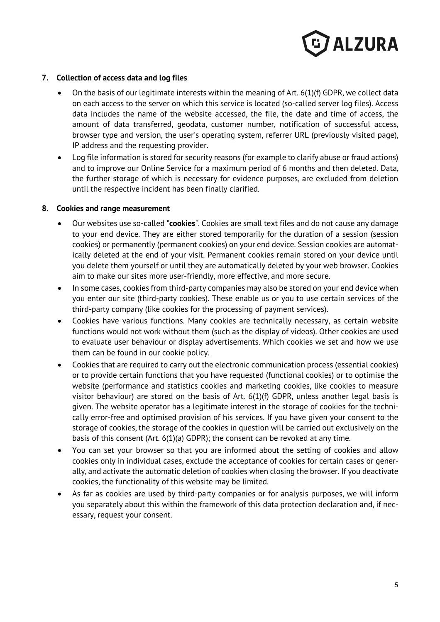

#### **7. Collection of access data and log files**

- On the basis of our legitimate interests within the meaning of Art. 6(1)(f) GDPR, we collect data on each access to the server on which this service is located (so-called server log files). Access data includes the name of the website accessed, the file, the date and time of access, the amount of data transferred, geodata, customer number, notification of successful access, browser type and version, the user's operating system, referrer URL (previously visited page), IP address and the requesting provider.
- Log file information is stored for security reasons (for example to clarify abuse or fraud actions) and to improve our Online Service for a maximum period of 6 months and then deleted. Data, the further storage of which is necessary for evidence purposes, are excluded from deletion until the respective incident has been finally clarified.

#### **8. Cookies and range measurement**

- Our websites use so-called "**cookies**". Cookies are small text files and do not cause any damage to your end device. They are either stored temporarily for the duration of a session (session cookies) or permanently (permanent cookies) on your end device. Session cookies are automatically deleted at the end of your visit. Permanent cookies remain stored on your device until you delete them yourself or until they are automatically deleted by your web browser. Cookies aim to make our sites more user-friendly, more effective, and more secure.
- In some cases, cookies from third-party companies may also be stored on your end device when you enter our site (third-party cookies). These enable us or you to use certain services of the third-party company (like cookies for the processing of payment services).
- Cookies have various functions. Many cookies are technically necessary, as certain website functions would not work without them (such as the display of videos). Other cookies are used to evaluate user behaviour or display advertisements. Which cookies we set and how we use them can be found in our cookie policy.
- Cookies that are required to carry out the electronic communication process (essential cookies) or to provide certain functions that you have requested (functional cookies) or to optimise the website (performance and statistics cookies and marketing cookies, like cookies to measure visitor behaviour) are stored on the basis of Art. 6(1)(f) GDPR, unless another legal basis is given. The website operator has a legitimate interest in the storage of cookies for the technically error-free and optimised provision of his services. If you have given your consent to the storage of cookies, the storage of the cookies in question will be carried out exclusively on the basis of this consent (Art. 6(1)(a) GDPR); the consent can be revoked at any time.
- You can set your browser so that you are informed about the setting of cookies and allow cookies only in individual cases, exclude the acceptance of cookies for certain cases or generally, and activate the automatic deletion of cookies when closing the browser. If you deactivate cookies, the functionality of this website may be limited.
- As far as cookies are used by third-party companies or for analysis purposes, we will inform you separately about this within the framework of this data protection declaration and, if necessary, request your consent.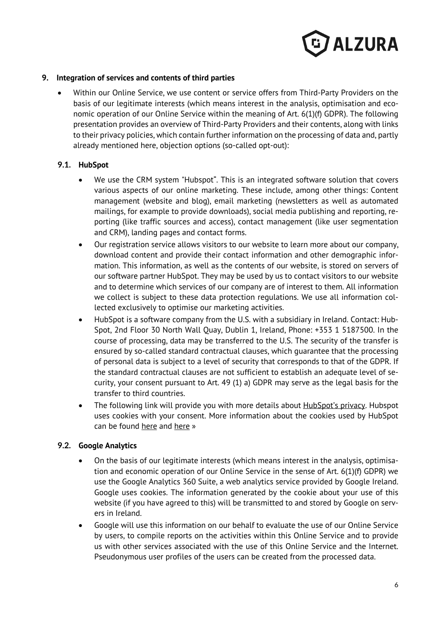

#### **9. Integration of services and contents of third parties**

• Within our Online Service, we use content or service offers from Third-Party Providers on the basis of our legitimate interests (which means interest in the analysis, optimisation and economic operation of our Online Service within the meaning of Art. 6(1)(f) GDPR). The following presentation provides an overview of Third-Party Providers and their contents, along with links to their privacy policies, which contain further information on the processing of data and, partly already mentioned here, objection options (so-called opt-out):

# **9.1. HubSpot**

- We use the CRM system "Hubspot". This is an integrated software solution that covers various aspects of our online marketing. These include, among other things: Content management (website and blog), email marketing (newsletters as well as automated mailings, for example to provide downloads), social media publishing and reporting, reporting (like traffic sources and access), contact management (like user segmentation and CRM), landing pages and contact forms.
- Our registration service allows visitors to our website to learn more about our company, download content and provide their contact information and other demographic information. This information, as well as the contents of our website, is stored on servers of our software partner HubSpot. They may be used by us to contact visitors to our website and to determine which services of our company are of interest to them. All information we collect is subject to these data protection regulations. We use all information collected exclusively to optimise our marketing activities.
- HubSpot is a software company from the U.S. with a subsidiary in Ireland. Contact: Hub-Spot, 2nd Floor 30 North Wall Quay, Dublin 1, Ireland, Phone: +353 1 5187500. In the course of processing, data may be transferred to the U.S. The security of the transfer is ensured by so-called standard contractual clauses, which guarantee that the processing of personal data is subject to a level of security that corresponds to that of the GDPR. If the standard contractual clauses are not sufficient to establish an adequate level of security, your consent pursuant to Art. 49 (1) a) GDPR may serve as the legal basis for the transfer to third countries.
- The following link will provide you with more details about **HubSpot's privacy**. Hubspot uses cookies with your consent. More information about the cookies used by HubSpot can be found here and here »

# **9.2. Google Analytics**

- On the basis of our legitimate interests (which means interest in the analysis, optimisation and economic operation of our Online Service in the sense of Art. 6(1)(f) GDPR) we use the Google Analytics 360 Suite, a web analytics service provided by Google Ireland. Google uses cookies. The information generated by the cookie about your use of this website (if you have agreed to this) will be transmitted to and stored by Google on servers in Ireland.
- Google will use this information on our behalf to evaluate the use of our Online Service by users, to compile reports on the activities within this Online Service and to provide us with other services associated with the use of this Online Service and the Internet. Pseudonymous user profiles of the users can be created from the processed data.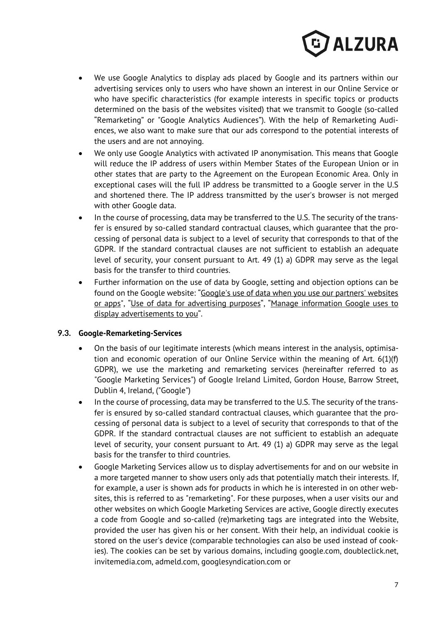

- We use Google Analytics to display ads placed by Google and its partners within our advertising services only to users who have shown an interest in our Online Service or who have specific characteristics (for example interests in specific topics or products determined on the basis of the websites visited) that we transmit to Google (so-called "Remarketing" or "Google Analytics Audiences"). With the help of Remarketing Audiences, we also want to make sure that our ads correspond to the potential interests of the users and are not annoying.
- We only use Google Analytics with activated IP anonymisation. This means that Google will reduce the IP address of users within Member States of the European Union or in other states that are party to the Agreement on the European Economic Area. Only in exceptional cases will the full IP address be transmitted to a Google server in the U.S and shortened there. The IP address transmitted by the user's browser is not merged with other Google data.
- In the course of processing, data may be transferred to the U.S. The security of the transfer is ensured by so-called standard contractual clauses, which guarantee that the processing of personal data is subject to a level of security that corresponds to that of the GDPR. If the standard contractual clauses are not sufficient to establish an adequate level of security, your consent pursuant to Art. 49 (1) a) GDPR may serve as the legal basis for the transfer to third countries.
- Further information on the use of data by Google, setting and objection options can be found on the Google website: "Google's use of data when you use our partners' websites or apps", "Use of data for advertising purposes", "Manage information Google uses to display advertisements to you".

#### **9.3. Google-Remarketing-Services**

- On the basis of our legitimate interests (which means interest in the analysis, optimisation and economic operation of our Online Service within the meaning of Art. 6(1)(f) GDPR), we use the marketing and remarketing services (hereinafter referred to as "Google Marketing Services") of Google Ireland Limited, Gordon House, Barrow Street, Dublin 4, Ireland, ("Google")
- In the course of processing, data may be transferred to the U.S. The security of the transfer is ensured by so-called standard contractual clauses, which guarantee that the processing of personal data is subject to a level of security that corresponds to that of the GDPR. If the standard contractual clauses are not sufficient to establish an adequate level of security, your consent pursuant to Art. 49 (1) a) GDPR may serve as the legal basis for the transfer to third countries.
- Google Marketing Services allow us to display advertisements for and on our website in a more targeted manner to show users only ads that potentially match their interests. If, for example, a user is shown ads for products in which he is interested in on other websites, this is referred to as "remarketing". For these purposes, when a user visits our and other websites on which Google Marketing Services are active, Google directly executes a code from Google and so-called (re)marketing tags are integrated into the Website, provided the user has given his or her consent. With their help, an individual cookie is stored on the user's device (comparable technologies can also be used instead of cookies). The cookies can be set by various domains, including google.com, doubleclick.net, invitemedia.com, admeld.com, googlesyndication.com or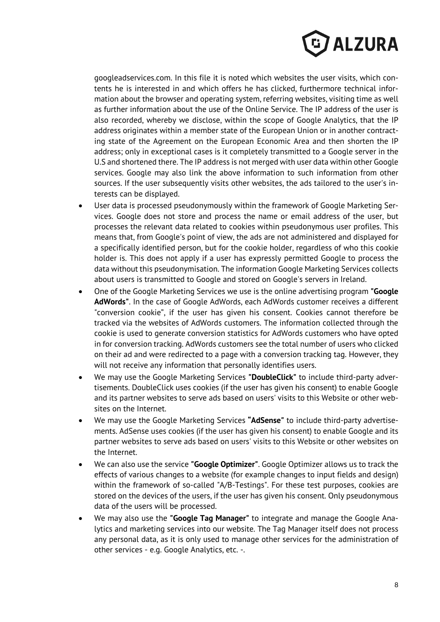

googleadservices.com. In this file it is noted which websites the user visits, which contents he is interested in and which offers he has clicked, furthermore technical information about the browser and operating system, referring websites, visiting time as well as further information about the use of the Online Service. The IP address of the user is also recorded, whereby we disclose, within the scope of Google Analytics, that the IP address originates within a member state of the European Union or in another contracting state of the Agreement on the European Economic Area and then shorten the IP address; only in exceptional cases is it completely transmitted to a Google server in the U.S and shortened there. The IP address is not merged with user data within other Google services. Google may also link the above information to such information from other sources. If the user subsequently visits other websites, the ads tailored to the user's interests can be displayed.

- User data is processed pseudonymously within the framework of Google Marketing Services. Google does not store and process the name or email address of the user, but processes the relevant data related to cookies within pseudonymous user profiles. This means that, from Google's point of view, the ads are not administered and displayed for a specifically identified person, but for the cookie holder, regardless of who this cookie holder is. This does not apply if a user has expressly permitted Google to process the data without this pseudonymisation. The information Google Marketing Services collects about users is transmitted to Google and stored on Google's servers in Ireland.
- One of the Google Marketing Services we use is the online advertising program **"Google AdWords"**. In the case of Google AdWords, each AdWords customer receives a different "conversion cookie", if the user has given his consent. Cookies cannot therefore be tracked via the websites of AdWords customers. The information collected through the cookie is used to generate conversion statistics for AdWords customers who have opted in for conversion tracking. AdWords customers see the total number of users who clicked on their ad and were redirected to a page with a conversion tracking tag. However, they will not receive any information that personally identifies users.
- We may use the Google Marketing Services **"DoubleClick"** to include third-party advertisements. DoubleClick uses cookies (if the user has given his consent) to enable Google and its partner websites to serve ads based on users' visits to this Website or other websites on the Internet.
- We may use the Google Marketing Services **"AdSense"** to include third-party advertisements. AdSense uses cookies (if the user has given his consent) to enable Google and its partner websites to serve ads based on users' visits to this Website or other websites on the Internet.
- We can also use the service **"Google Optimizer"**. Google Optimizer allows us to track the effects of various changes to a website (for example changes to input fields and design) within the framework of so-called "A/B-Testings". For these test purposes, cookies are stored on the devices of the users, if the user has given his consent. Only pseudonymous data of the users will be processed.
- We may also use the **"Google Tag Manager"** to integrate and manage the Google Analytics and marketing services into our website. The Tag Manager itself does not process any personal data, as it is only used to manage other services for the administration of other services - e.g. Google Analytics, etc. -.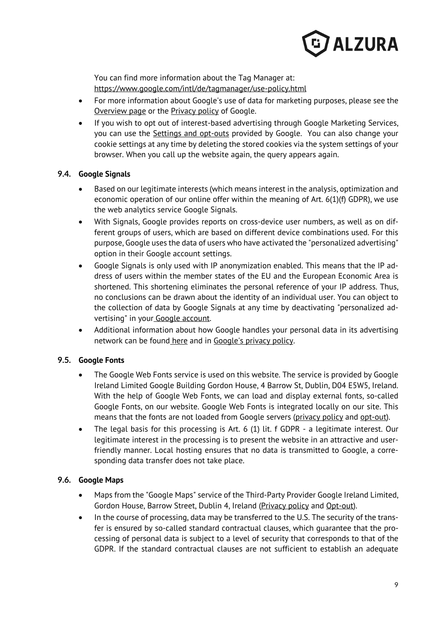

You can find more information about the Tag Manager at: https://www.google.com/intl/de/tagmanager/use-policy.html

- For more information about Google's use of data for marketing purposes, please see the Overview page or the Privacy policy of Google.
- If you wish to opt out of interest-based advertising through Google Marketing Services, you can use the Settings and opt-outs provided by Google. You can also change your cookie settings at any time by deleting the stored cookies via the system settings of your browser. When you call up the website again, the query appears again.

# **9.4. Google Signals**

- Based on our legitimate interests (which means interest in the analysis, optimization and economic operation of our online offer within the meaning of Art. 6(1)(f) GDPR), we use the web analytics service Google Signals.
- With Signals, Google provides reports on cross-device user numbers, as well as on different groups of users, which are based on different device combinations used. For this purpose, Google uses the data of users who have activated the "personalized advertising" option in their Google account settings.
- Google Signals is only used with IP anonymization enabled. This means that the IP address of users within the member states of the EU and the European Economic Area is shortened. This shortening eliminates the personal reference of your IP address. Thus, no conclusions can be drawn about the identity of an individual user. You can object to the collection of data by Google Signals at any time by deactivating "personalized advertising" in your Google account.
- Additional information about how Google handles your personal data in its advertising network can be found here and in Google's privacy policy.

# **9.5. Google Fonts**

- The Google Web Fonts service is used on this website. The service is provided by Google Ireland Limited Google Building Gordon House, 4 Barrow St, Dublin, D04 E5W5, Ireland. With the help of Google Web Fonts, we can load and display external fonts, so-called Google Fonts, on our website. Google Web Fonts is integrated locally on our site. This means that the fonts are not loaded from Google servers (privacy policy and opt-out).
- The legal basis for this processing is Art. 6 (1) lit. f GDPR a legitimate interest. Our legitimate interest in the processing is to present the website in an attractive and userfriendly manner. Local hosting ensures that no data is transmitted to Google, a corresponding data transfer does not take place.

# **9.6. Google Maps**

- Maps from the "Google Maps" service of the Third-Party Provider Google Ireland Limited, Gordon House, Barrow Street, Dublin 4, Ireland (Privacy policy and Opt-out).
- In the course of processing, data may be transferred to the U.S. The security of the transfer is ensured by so-called standard contractual clauses, which guarantee that the processing of personal data is subject to a level of security that corresponds to that of the GDPR. If the standard contractual clauses are not sufficient to establish an adequate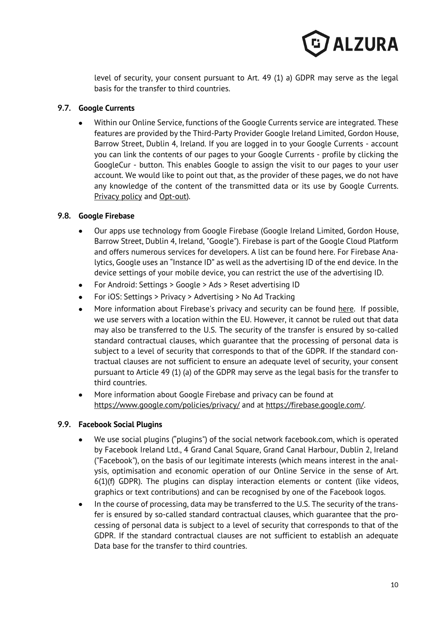

level of security, your consent pursuant to Art. 49 (1) a) GDPR may serve as the legal basis for the transfer to third countries.

# **9.7. Google Currents**

• Within our Online Service, functions of the Google Currents service are integrated. These features are provided by the Third-Party Provider Google Ireland Limited, Gordon House, Barrow Street, Dublin 4, Ireland. If you are logged in to your Google Currents - account you can link the contents of our pages to your Google Currents - profile by clicking the GoogleCur - button. This enables Google to assign the visit to our pages to your user account. We would like to point out that, as the provider of these pages, we do not have any knowledge of the content of the transmitted data or its use by Google Currents. Privacy policy and Opt-out).

# **9.8. Google Firebase**

- Our apps use technology from Google Firebase (Google Ireland Limited, Gordon House, Barrow Street, Dublin 4, Ireland, "Google"). Firebase is part of the Google Cloud Platform and offers numerous services for developers. A list can be found here. For Firebase Analytics, Google uses an "Instance ID" as well as the advertising ID of the end device. In the device settings of your mobile device, you can restrict the use of the advertising ID.
- For Android: Settings > Google > Ads > Reset advertising ID
- For iOS: Settings > Privacy > Advertising > No Ad Tracking
- More information about Firebase's privacy and security can be found here. If possible, we use servers with a location within the EU. However, it cannot be ruled out that data may also be transferred to the U.S. The security of the transfer is ensured by so-called standard contractual clauses, which guarantee that the processing of personal data is subject to a level of security that corresponds to that of the GDPR. If the standard contractual clauses are not sufficient to ensure an adequate level of security, your consent pursuant to Article 49 (1) (a) of the GDPR may serve as the legal basis for the transfer to third countries.
- More information about Google Firebase and privacy can be found at https://www.google.com/policies/privacy/ and at https://firebase.google.com/.

#### **9.9. Facebook Social Plugins**

- We use social plugins ("plugins") of the social network facebook.com, which is operated by Facebook Ireland Ltd., 4 Grand Canal Square, Grand Canal Harbour, Dublin 2, Ireland ("Facebook"), on the basis of our legitimate interests (which means interest in the analysis, optimisation and economic operation of our Online Service in the sense of Art. 6(1)(f) GDPR). The plugins can display interaction elements or content (like videos, graphics or text contributions) and can be recognised by one of the Facebook logos.
- In the course of processing, data may be transferred to the U.S. The security of the transfer is ensured by so-called standard contractual clauses, which guarantee that the processing of personal data is subject to a level of security that corresponds to that of the GDPR. If the standard contractual clauses are not sufficient to establish an adequate Data base for the transfer to third countries.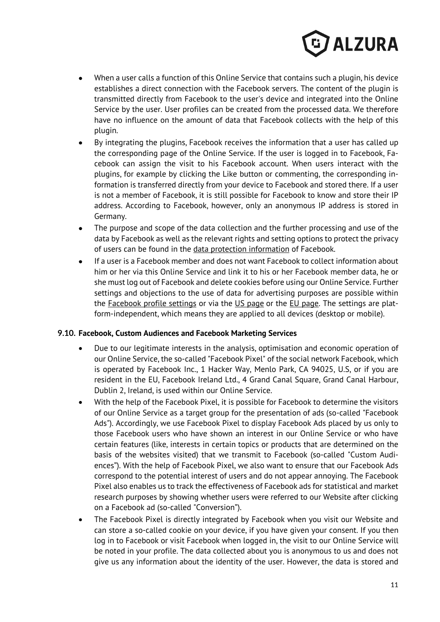

- When a user calls a function of this Online Service that contains such a plugin, his device establishes a direct connection with the Facebook servers. The content of the plugin is transmitted directly from Facebook to the user's device and integrated into the Online Service by the user. User profiles can be created from the processed data. We therefore have no influence on the amount of data that Facebook collects with the help of this plugin.
- By integrating the plugins, Facebook receives the information that a user has called up the corresponding page of the Online Service. If the user is logged in to Facebook, Facebook can assign the visit to his Facebook account. When users interact with the plugins, for example by clicking the Like button or commenting, the corresponding information is transferred directly from your device to Facebook and stored there. If a user is not a member of Facebook, it is still possible for Facebook to know and store their IP address. According to Facebook, however, only an anonymous IP address is stored in Germany.
- The purpose and scope of the data collection and the further processing and use of the data by Facebook as well as the relevant rights and setting options to protect the privacy of users can be found in the data protection information of Facebook.
- If a user is a Facebook member and does not want Facebook to collect information about him or her via this Online Service and link it to his or her Facebook member data, he or she must log out of Facebook and delete cookies before using our Online Service. Further settings and objections to the use of data for advertising purposes are possible within the Facebook profile settings or via the US page or the EU page. The settings are platform-independent, which means they are applied to all devices (desktop or mobile).

#### **9.10. Facebook, Custom Audiences and Facebook Marketing Services**

- Due to our legitimate interests in the analysis, optimisation and economic operation of our Online Service, the so-called "Facebook Pixel" of the social network Facebook, which is operated by Facebook Inc., 1 Hacker Way, Menlo Park, CA 94025, U.S, or if you are resident in the EU, Facebook Ireland Ltd., 4 Grand Canal Square, Grand Canal Harbour, Dublin 2, Ireland, is used within our Online Service.
- With the help of the Facebook Pixel, it is possible for Facebook to determine the visitors of our Online Service as a target group for the presentation of ads (so-called "Facebook Ads"). Accordingly, we use Facebook Pixel to display Facebook Ads placed by us only to those Facebook users who have shown an interest in our Online Service or who have certain features (like, interests in certain topics or products that are determined on the basis of the websites visited) that we transmit to Facebook (so-called "Custom Audiences"). With the help of Facebook Pixel, we also want to ensure that our Facebook Ads correspond to the potential interest of users and do not appear annoying. The Facebook Pixel also enables us to track the effectiveness of Facebook ads for statistical and market research purposes by showing whether users were referred to our Website after clicking on a Facebook ad (so-called "Conversion").
- The Facebook Pixel is directly integrated by Facebook when you visit our Website and can store a so-called cookie on your device, if you have given your consent. If you then log in to Facebook or visit Facebook when logged in, the visit to our Online Service will be noted in your profile. The data collected about you is anonymous to us and does not give us any information about the identity of the user. However, the data is stored and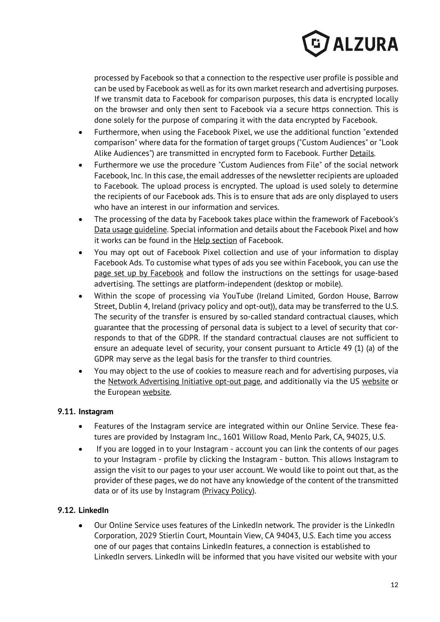

processed by Facebook so that a connection to the respective user profile is possible and can be used by Facebook as well as for its own market research and advertising purposes. If we transmit data to Facebook for comparison purposes, this data is encrypted locally on the browser and only then sent to Facebook via a secure https connection. This is done solely for the purpose of comparing it with the data encrypted by Facebook.

- Furthermore, when using the Facebook Pixel, we use the additional function "extended comparison" where data for the formation of target groups ("Custom Audiences" or "Look Alike Audiences") are transmitted in encrypted form to Facebook. Further Details.
- Furthermore we use the procedure "Custom Audiences from File" of the social network Facebook, Inc. In this case, the email addresses of the newsletter recipients are uploaded to Facebook. The upload process is encrypted. The upload is used solely to determine the recipients of our Facebook ads. This is to ensure that ads are only displayed to users who have an interest in our information and services.
- The processing of the data by Facebook takes place within the framework of Facebook's Data usage guideline. Special information and details about the Facebook Pixel and how it works can be found in the **Help section** of Facebook.
- You may opt out of Facebook Pixel collection and use of your information to display Facebook Ads. To customise what types of ads you see within Facebook, you can use the page set up by Facebook and follow the instructions on the settings for usage-based advertising. The settings are platform-independent (desktop or mobile).
- Within the scope of processing via YouTube (Ireland Limited, Gordon House, Barrow Street, Dublin 4, Ireland (privacy policy and opt-out)), data may be transferred to the U.S. The security of the transfer is ensured by so-called standard contractual clauses, which guarantee that the processing of personal data is subject to a level of security that corresponds to that of the GDPR. If the standard contractual clauses are not sufficient to ensure an adequate level of security, your consent pursuant to Article 49 (1) (a) of the GDPR may serve as the legal basis for the transfer to third countries.
- You may object to the use of cookies to measure reach and for advertising purposes, via the Network Advertising Initiative opt-out page, and additionally via the US website or the European website.

# **9.11. Instagram**

- Features of the Instagram service are integrated within our Online Service. These features are provided by Instagram Inc., 1601 Willow Road, Menlo Park, CA, 94025, U.S.
- If you are logged in to your Instagram account you can link the contents of our pages to your Instagram - profile by clicking the Instagram - button. This allows Instagram to assign the visit to our pages to your user account. We would like to point out that, as the provider of these pages, we do not have any knowledge of the content of the transmitted data or of its use by Instagram (Privacy Policy).

# **9.12. LinkedIn**

• Our Online Service uses features of the LinkedIn network. The provider is the LinkedIn Corporation, 2029 Stierlin Court, Mountain View, CA 94043, U.S. Each time you access one of our pages that contains LinkedIn features, a connection is established to LinkedIn servers. LinkedIn will be informed that you have visited our website with your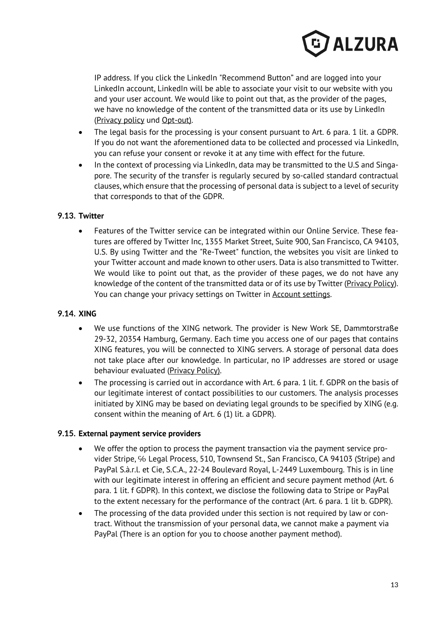

IP address. If you click the LinkedIn "Recommend Button" and are logged into your LinkedIn account, LinkedIn will be able to associate your visit to our website with you and your user account. We would like to point out that, as the provider of the pages, we have no knowledge of the content of the transmitted data or its use by LinkedIn (Privacy policy und Opt-out).

- The legal basis for the processing is your consent pursuant to Art. 6 para. 1 lit. a GDPR. If you do not want the aforementioned data to be collected and processed via LinkedIn, you can refuse your consent or revoke it at any time with effect for the future.
- In the context of processing via LinkedIn, data may be transmitted to the U.S and Singapore. The security of the transfer is regularly secured by so-called standard contractual clauses, which ensure that the processing of personal data is subject to a level of security that corresponds to that of the GDPR.

# **9.13. Twitter**

• Features of the Twitter service can be integrated within our Online Service. These features are offered by Twitter Inc, 1355 Market Street, Suite 900, San Francisco, CA 94103, U.S. By using Twitter and the "Re-Tweet" function, the websites you visit are linked to your Twitter account and made known to other users. Data is also transmitted to Twitter. We would like to point out that, as the provider of these pages, we do not have any knowledge of the content of the transmitted data or of its use by Twitter (Privacy Policy). You can change your privacy settings on Twitter in Account settings.

#### **9.14. XING**

- We use functions of the XING network. The provider is New Work SE, Dammtorstraße 29-32, 20354 Hamburg, Germany. Each time you access one of our pages that contains XING features, you will be connected to XING servers. A storage of personal data does not take place after our knowledge. In particular, no IP addresses are stored or usage behaviour evaluated (Privacy Policy).
- The processing is carried out in accordance with Art. 6 para. 1 lit. f. GDPR on the basis of our legitimate interest of contact possibilities to our customers. The analysis processes initiated by XING may be based on deviating legal grounds to be specified by XING (e.g. consent within the meaning of Art. 6 (1) lit. a GDPR).

### **9.15. External payment service providers**

- We offer the option to process the payment transaction via the payment service provider Stripe, % Legal Process, 510, Townsend St., San Francisco, CA 94103 (Stripe) and PayPal S.à.r.l. et Cie, S.C.A., 22-24 Boulevard Royal, L-2449 Luxembourg. This is in line with our legitimate interest in offering an efficient and secure payment method (Art. 6 para. 1 lit. f GDPR). In this context, we disclose the following data to Stripe or PayPal to the extent necessary for the performance of the contract (Art. 6 para. 1 lit b. GDPR).
- The processing of the data provided under this section is not required by law or contract. Without the transmission of your personal data, we cannot make a payment via PayPal (There is an option for you to choose another payment method).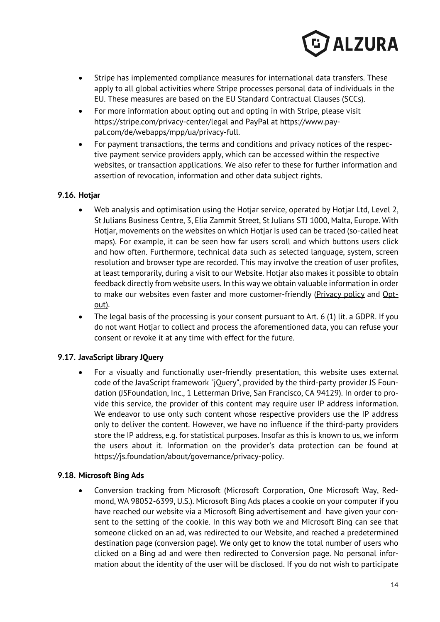

- Stripe has implemented compliance measures for international data transfers. These apply to all global activities where Stripe processes personal data of individuals in the EU. These measures are based on the EU Standard Contractual Clauses (SCCs).
- For more information about opting out and opting in with Stripe, please visit https://stripe.com/privacy-center/legal and PayPal at https://www.paypal.com/de/webapps/mpp/ua/privacy-full.
- For payment transactions, the terms and conditions and privacy notices of the respective payment service providers apply, which can be accessed within the respective websites, or transaction applications. We also refer to these for further information and assertion of revocation, information and other data subject rights.

# **9.16. Hotjar**

- Web analysis and optimisation using the Hotjar service, operated by Hotjar Ltd, Level 2, St Julians Business Centre, 3, Elia Zammit Street, St Julians STJ 1000, Malta, Europe. With Hotjar, movements on the websites on which Hotjar is used can be traced (so-called heat maps). For example, it can be seen how far users scroll and which buttons users click and how often. Furthermore, technical data such as selected language, system, screen resolution and browser type are recorded. This may involve the creation of user profiles, at least temporarily, during a visit to our Website. Hotjar also makes it possible to obtain feedback directly from website users. In this way we obtain valuable information in order to make our websites even faster and more customer-friendly (Privacy policy and Optout).
- The legal basis of the processing is your consent pursuant to Art. 6 (1) lit. a GDPR. If you do not want Hotjar to collect and process the aforementioned data, you can refuse your consent or revoke it at any time with effect for the future.

# **9.17. JavaScript library JQuery**

• For a visually and functionally user-friendly presentation, this website uses external code of the JavaScript framework "jQuery", provided by the third-party provider JS Foundation (JSFoundation, Inc., 1 Letterman Drive, San Francisco, CA 94129). In order to provide this service, the provider of this content may require user IP address information. We endeavor to use only such content whose respective providers use the IP address only to deliver the content. However, we have no influence if the third-party providers store the IP address, e.g. for statistical purposes. Insofar as this is known to us, we inform the users about it. Information on the provider's data protection can be found at https://js.foundation/about/governance/privacy-policy.

#### **9.18. Microsoft Bing Ads**

• Conversion tracking from Microsoft (Microsoft Corporation, One Microsoft Way, Redmond, WA 98052-6399, U.S.). Microsoft Bing Ads places a cookie on your computer if you have reached our website via a Microsoft Bing advertisement and have given your consent to the setting of the cookie. In this way both we and Microsoft Bing can see that someone clicked on an ad, was redirected to our Website, and reached a predetermined destination page (conversion page). We only get to know the total number of users who clicked on a Bing ad and were then redirected to Conversion page. No personal information about the identity of the user will be disclosed. If you do not wish to participate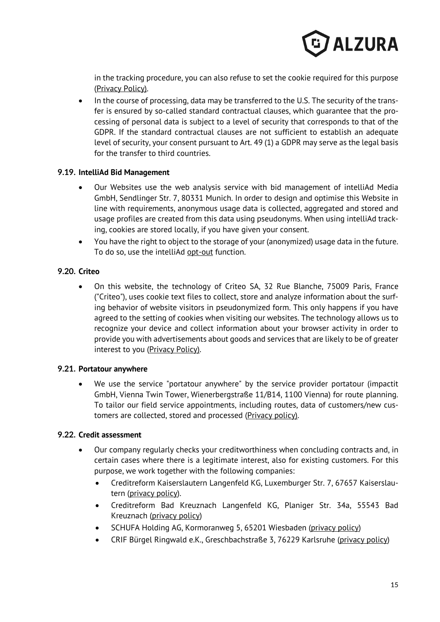

in the tracking procedure, you can also refuse to set the cookie required for this purpose (Privacy Policy).

• In the course of processing, data may be transferred to the U.S. The security of the transfer is ensured by so-called standard contractual clauses, which guarantee that the processing of personal data is subject to a level of security that corresponds to that of the GDPR. If the standard contractual clauses are not sufficient to establish an adequate level of security, your consent pursuant to Art. 49 (1) a GDPR may serve as the legal basis for the transfer to third countries.

#### **9.19. IntelliAd Bid Management**

- Our Websites use the web analysis service with bid management of intelliAd Media GmbH, Sendlinger Str. 7, 80331 Munich. In order to design and optimise this Website in line with requirements, anonymous usage data is collected, aggregated and stored and usage profiles are created from this data using pseudonyms. When using intelliAd tracking, cookies are stored locally, if you have given your consent.
- You have the right to object to the storage of your (anonymized) usage data in the future. To do so, use the intelliAd opt-out function.

# **9.20. Criteo**

• On this website, the technology of Criteo SA, 32 Rue Blanche, 75009 Paris, France ("Criteo"), uses cookie text files to collect, store and analyze information about the surfing behavior of website visitors in pseudonymized form. This only happens if you have agreed to the setting of cookies when visiting our websites. The technology allows us to recognize your device and collect information about your browser activity in order to provide you with advertisements about goods and services that are likely to be of greater interest to you (Privacy Policy).

#### **9.21. Portatour anywhere**

• We use the service "portatour anywhere" by the service provider portatour (impactit GmbH, Vienna Twin Tower, Wienerbergstraße 11/B14, 1100 Vienna) for route planning. To tailor our field service appointments, including routes, data of customers/new customers are collected, stored and processed (Privacy policy).

#### **9.22. Credit assessment**

- Our company regularly checks your creditworthiness when concluding contracts and, in certain cases where there is a legitimate interest, also for existing customers. For this purpose, we work together with the following companies:
	- Creditreform Kaiserslautern Langenfeld KG, Luxemburger Str. 7, 67657 Kaiserslautern (privacy policy).
	- Creditreform Bad Kreuznach Langenfeld KG, Planiger Str. 34a, 55543 Bad Kreuznach (privacy policy)
	- SCHUFA Holding AG, Kormoranweg 5, 65201 Wiesbaden (privacy policy)
	- CRIF Bürgel Ringwald e.K., Greschbachstraße 3, 76229 Karlsruhe (privacy policy)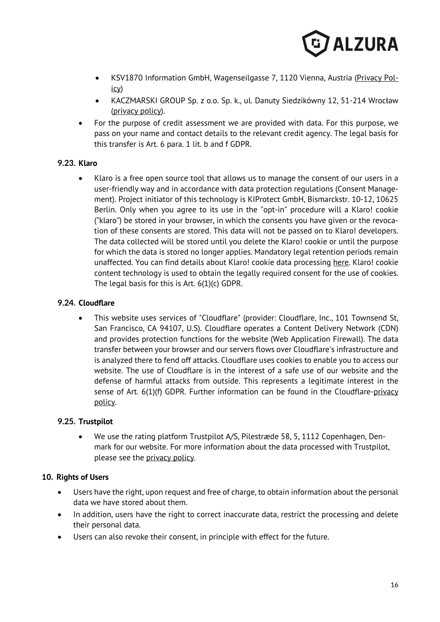

- KSV1870 Information GmbH, Wagenseilgasse 7, 1120 Vienna, Austria (Privacy Policy)
- KACZMARSKI GROUP Sp. z o.o. Sp. k., ul. Danuty Siedzikówny 12, 51-214 Wrocław (privacy policy).
- For the purpose of credit assessment we are provided with data. For this purpose, we pass on your name and contact details to the relevant credit agency. The legal basis for this transfer is Art. 6 para. 1 lit. b and f GDPR.

# **9.23. Klaro**

• Klaro is a free open source tool that allows us to manage the consent of our users in a user-friendly way and in accordance with data protection regulations (Consent Management). Project initiator of this technology is KIProtect GmbH, Bismarckstr. 10-12, 10625 Berlin. Only when you agree to its use in the "opt-in" procedure will a Klaro! cookie ("klaro") be stored in your browser, in which the consents you have given or the revocation of these consents are stored. This data will not be passed on to Klaro! developers. The data collected will be stored until you delete the Klaro! cookie or until the purpose for which the data is stored no longer applies. Mandatory legal retention periods remain unaffected. You can find details about Klaro! cookie data processing here. Klaro! cookie content technology is used to obtain the legally required consent for the use of cookies. The legal basis for this is Art. 6(1)(c) GDPR.

# **9.24. Cloudflare**

• This website uses services of "Cloudflare" (provider: Cloudflare, Inc., 101 Townsend St, San Francisco, CA 94107, U.S). Cloudflare operates a Content Delivery Network (CDN) and provides protection functions for the website (Web Application Firewall). The data transfer between your browser and our servers flows over Cloudflare's infrastructure and is analyzed there to fend off attacks. Cloudflare uses cookies to enable you to access our website. The use of Cloudflare is in the interest of a safe use of our website and the defense of harmful attacks from outside. This represents a legitimate interest in the sense of Art. 6(1)(f) GDPR. Further information can be found in the Cloudflare-privacy policy.

#### **9.25. Trustpilot**

• We use the rating platform Trustpilot A/S, Pilestræde 58, 5, 1112 Copenhagen, Denmark for our website. For more information about the data processed with Trustpilot, please see the privacy policy.

#### **10. Rights of Users**

- Users have the right, upon request and free of charge, to obtain information about the personal data we have stored about them.
- In addition, users have the right to correct inaccurate data, restrict the processing and delete their personal data.
- Users can also revoke their consent, in principle with effect for the future.